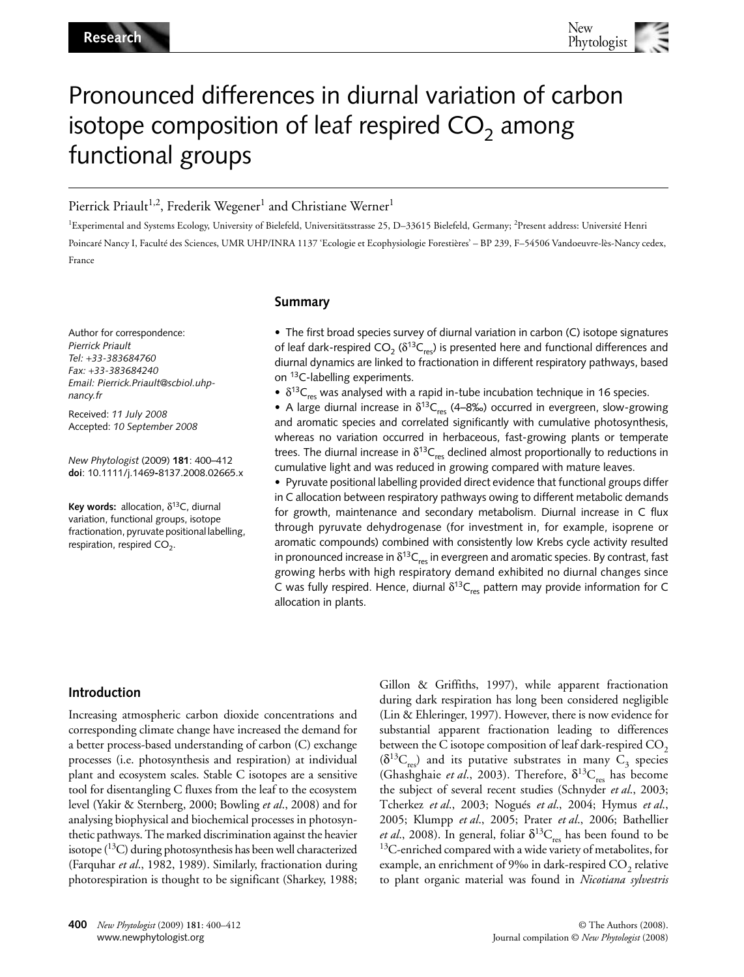# Pronounced differences in diurnal variation of carbon isotope composition of leaf respired  $CO<sub>2</sub>$  among functional groups

# Pierrick Priault<sup>1,2</sup>, Frederik Wegener<sup>1</sup> and Christiane Werner<sup>1</sup>

1Experimental and Systems Ecology, University of Bielefeld, Universitätsstrasse 25, D–33615 Bielefeld, Germany; 2Present address: Université Henri Poincaré Nancy I, Faculté des Sciences, UMR UHP/INRA 1137 'Ecologie et Ecophysiologie Forestières' – BP 239, F–54506 Vandoeuvre-lès-Nancy cedex, France

Author for correspondence: *Pierrick Priault Tel:* +*33-383684760 Fax:* +*33-383684240 Email: Pierrick.Priault@scbiol.uhpnancy.fr*

Received: *11 July 2008* Accepted: *10 September 2008*

*New Phytologist* (2009) **181**: 400–412 **doi**: 10.1111/j.1469**-**8137.2008.02665.x

**Key words:** allocation,  $\delta^{13}$ C, diurnal variation, functional groups, isotope fractionation, pyruvate positional labelling, respiration, respired  $CO<sub>2</sub>$ .

## **Summary**

• The first broad species survey of diurnal variation in carbon (C) isotope signatures of leaf dark-respired  $CO_2$  ( $\delta^{13}C_{res}$ ) is presented here and functional differences and diurnal dynamics are linked to fractionation in different respiratory pathways, based on 13C-labelling experiments.

•  $\delta^{13}C_{\text{rec}}$  was analysed with a rapid in-tube incubation technique in 16 species.

• A large diurnal increase in  $\delta^{13}C_{res}$  (4–8‰) occurred in evergreen, slow-growing and aromatic species and correlated significantly with cumulative photosynthesis, whereas no variation occurred in herbaceous, fast-growing plants or temperate trees. The diurnal increase in  $\delta^{13}C_{res}$  declined almost proportionally to reductions in cumulative light and was reduced in growing compared with mature leaves.

• Pyruvate positional labelling provided direct evidence that functional groups differ in C allocation between respiratory pathways owing to different metabolic demands for growth, maintenance and secondary metabolism. Diurnal increase in C flux through pyruvate dehydrogenase (for investment in, for example, isoprene or aromatic compounds) combined with consistently low Krebs cycle activity resulted in pronounced increase in  $\delta^{13}C_{res}$  in evergreen and aromatic species. By contrast, fast growing herbs with high respiratory demand exhibited no diurnal changes since C was fully respired. Hence, diurnal  $\delta^{13}C_{res}$  pattern may provide information for C allocation in plants.

# **Introduction**

Increasing atmospheric carbon dioxide concentrations and corresponding climate change have increased the demand for a better process-based understanding of carbon (C) exchange processes (i.e. photosynthesis and respiration) at individual plant and ecosystem scales. Stable C isotopes are a sensitive tool for disentangling C fluxes from the leaf to the ecosystem level (Yakir & Sternberg, 2000; Bowling *et al*., 2008) and for analysing biophysical and biochemical processes in photosynthetic pathways. The marked discrimination against the heavier isotope  $(^{13}C)$  during photosynthesis has been well characterized (Farquhar *et al*., 1982, 1989). Similarly, fractionation during photorespiration is thought to be significant (Sharkey, 1988; Gillon & Griffiths, 1997), while apparent fractionation during dark respiration has long been considered negligible (Lin & Ehleringer, 1997). However, there is now evidence for substantial apparent fractionation leading to differences between the C isotope composition of leaf dark-respired  $CO<sub>2</sub>$  $(\delta^{13}C_{res})$  and its putative substrates in many  $C_3$  species (Ghashghaie *et al.*, 2003). Therefore,  $\delta^{13}C_{res}$  has become the subject of several recent studies (Schnyder *et al*., 2003; Tcherkez *et al*., 2003; Nogués *et al*., 2004; Hymus *et al*., 2005; Klumpp *et al*., 2005; Prater *et al*., 2006; Bathellier *et al.*, 2008). In general, foliar  $\delta^{13}C_{res}$  has been found to be <sup>13</sup>C-enriched compared with a wide variety of metabolites, for example, an enrichment of 9‰ in dark-respired  $CO<sub>2</sub>$  relative to plant organic material was found in *Nicotiana sylvestris*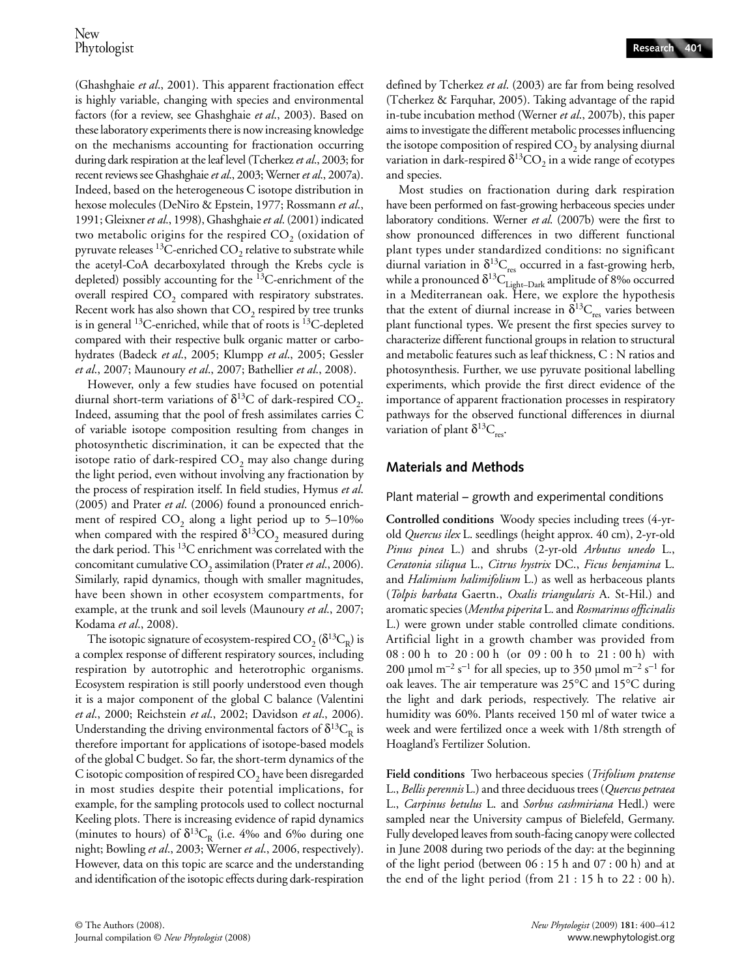(Ghashghaie *et al*., 2001). This apparent fractionation effect is highly variable, changing with species and environmental factors (for a review, see Ghashghaie *et al*., 2003). Based on these laboratory experiments there is now increasing knowledge on the mechanisms accounting for fractionation occurring during dark respiration at the leaf level (Tcherkez *et al*., 2003; for recent reviews see Ghashghaie *et al*., 2003; Werner *et al*., 2007a). Indeed, based on the heterogeneous C isotope distribution in hexose molecules (DeNiro & Epstein, 1977; Rossmann *et al*., 1991; Gleixner *et al*., 1998), Ghashghaie *et al*. (2001) indicated two metabolic origins for the respired  $CO<sub>2</sub>$  (oxidation of pyruvate releases  $^{13}$ C-enriched CO<sub>2</sub> relative to substrate while the acetyl-CoA decarboxylated through the Krebs cycle is depleted) possibly accounting for the 13C-enrichment of the overall respired  $CO<sub>2</sub>$  compared with respiratory substrates. Recent work has also shown that  $CO_2$  respired by tree trunks is in general  $^{13}$ C-enriched, while that of roots is  $^{13}$ C-depleted compared with their respective bulk organic matter or carbohydrates (Badeck *et al*., 2005; Klumpp *et al*., 2005; Gessler *et al*., 2007; Maunoury *et al*., 2007; Bathellier *et al*., 2008).

However, only a few studies have focused on potential diurnal short-term variations of  $\delta^{13}$ C of dark-respired CO<sub>2</sub>. Indeed, assuming that the pool of fresh assimilates carries C of variable isotope composition resulting from changes in photosynthetic discrimination, it can be expected that the isotope ratio of dark-respired  $CO<sub>2</sub>$  may also change during the light period, even without involving any fractionation by the process of respiration itself. In field studies, Hymus *et al*. (2005) and Prater *et al*. (2006) found a pronounced enrichment of respired  $CO<sub>2</sub>$  along a light period up to 5–10‰ when compared with the respired  $\delta^{13}CO_2$  measured during the dark period. This  ${}^{13}C$  enrichment was correlated with the concomitant cumulative CO<sub>2</sub> assimilation (Prater *et al.*, 2006). Similarly, rapid dynamics, though with smaller magnitudes, have been shown in other ecosystem compartments, for example, at the trunk and soil levels (Maunoury *et al*., 2007; Kodama *et al*., 2008).

The isotopic signature of ecosystem-respired  $CO$ <sub>2</sub> ( $\delta^{13}C_R$ ) is a complex response of different respiratory sources, including respiration by autotrophic and heterotrophic organisms. Ecosystem respiration is still poorly understood even though it is a major component of the global C balance (Valentini *et al*., 2000; Reichstein *et al*., 2002; Davidson *et al*., 2006). Understanding the driving environmental factors of  $\delta^{13}C_R$  is therefore important for applications of isotope-based models of the global C budget. So far, the short-term dynamics of the C isotopic composition of respired  $CO<sub>2</sub>$  have been disregarded in most studies despite their potential implications, for example, for the sampling protocols used to collect nocturnal Keeling plots. There is increasing evidence of rapid dynamics (minutes to hours) of  $\delta^{13}C_R$  (i.e. 4‰ and 6‰ during one night; Bowling *et al*., 2003; Werner *et al*., 2006, respectively). However, data on this topic are scarce and the understanding and identification of the isotopic effects during dark-respiration

defined by Tcherkez *et al*. (2003) are far from being resolved (Tcherkez & Farquhar, 2005). Taking advantage of the rapid in-tube incubation method (Werner *et al*., 2007b), this paper aims to investigate the different metabolic processes influencing the isotope composition of respired  $CO<sub>2</sub>$  by analysing diurnal variation in dark-respired  $\delta^{13}$ CO<sub>2</sub> in a wide range of ecotypes and species.

Most studies on fractionation during dark respiration have been performed on fast-growing herbaceous species under laboratory conditions. Werner *et al*. (2007b) were the first to show pronounced differences in two different functional plant types under standardized conditions: no significant diurnal variation in  $\delta^{13}C_{res}$  occurred in a fast-growing herb, while a pronounced  $\delta^{13}\rm{C}_{Light-Dark}$  amplitude of 8‰ occurred in a Mediterranean oak. Here, we explore the hypothesis that the extent of diurnal increase in  $\delta^{13}C_{res}$  varies between plant functional types. We present the first species survey to characterize different functional groups in relation to structural and metabolic features such as leaf thickness, C : N ratios and photosynthesis. Further, we use pyruvate positional labelling experiments, which provide the first direct evidence of the importance of apparent fractionation processes in respiratory pathways for the observed functional differences in diurnal variation of plant  $\delta^{13}C_{\text{rec}}$ .

# **Materials and Methods**

## Plant material – growth and experimental conditions

**Controlled conditions** Woody species including trees (4-yrold *Quercus ilex* L. seedlings (height approx. 40 cm), 2-yr-old *Pinus pinea* L.) and shrubs (2-yr-old *Arbutus unedo* L., *Ceratonia siliqua* L., *Citrus hystrix* DC., *Ficus benjamina* L. and *Halimium halimifolium* L.) as well as herbaceous plants (*Tolpis barbata* Gaertn., *Oxalis triangularis* A. St-Hil.) and aromatic species (*Mentha piperita* L. and *Rosmarinus officinalis* L.) were grown under stable controlled climate conditions. Artificial light in a growth chamber was provided from 08 : 00 h to 20 : 00 h (or 09 : 00 h to 21 : 00 h) with 200 µmol m<sup>-2</sup> s<sup>-1</sup> for all species, up to 350 µmol m<sup>-2</sup> s<sup>-1</sup> for oak leaves. The air temperature was 25°C and 15°C during the light and dark periods, respectively. The relative air humidity was 60%. Plants received 150 ml of water twice a week and were fertilized once a week with 1/8th strength of Hoagland's Fertilizer Solution.

**Field conditions** Two herbaceous species (*Trifolium pratense* L., *Bellis perennis* L.) and three deciduous trees (*Quercus petraea* L., *Carpinus betulus* L. and *Sorbus cashmiriana* Hedl.) were sampled near the University campus of Bielefeld, Germany. Fully developed leaves from south-facing canopy were collected in June 2008 during two periods of the day: at the beginning of the light period (between 06 : 15 h and 07 : 00 h) and at the end of the light period (from 21 : 15 h to 22 : 00 h).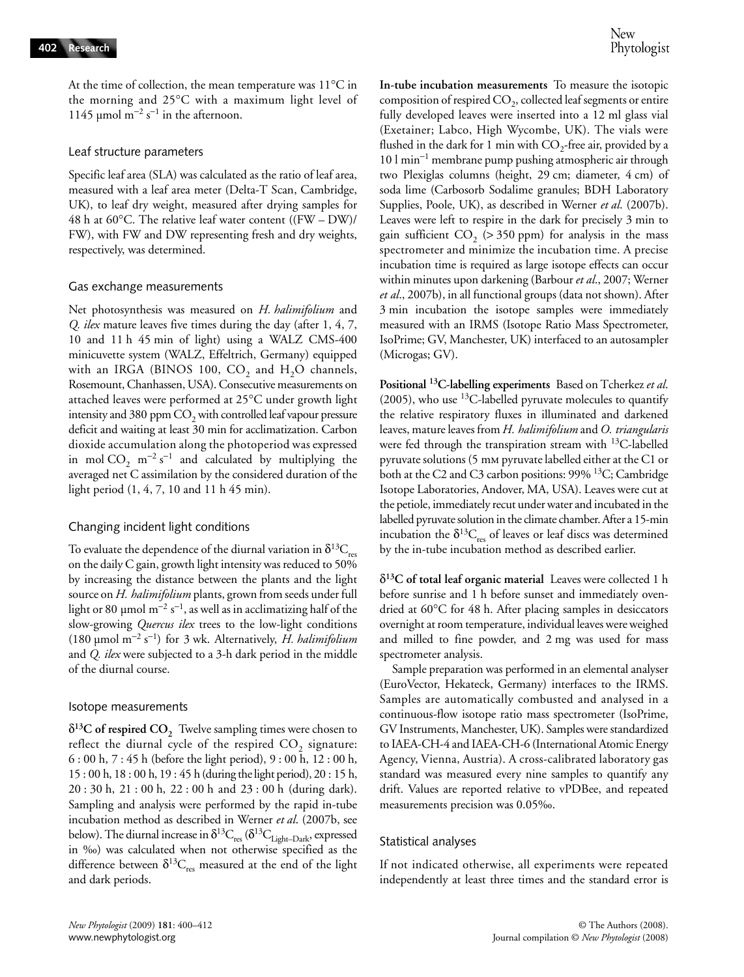At the time of collection, the mean temperature was 11°C in the morning and 25°C with a maximum light level of 1145 µmol m<sup>-2</sup> s<sup>-1</sup> in the afternoon.

#### Leaf structure parameters

Specific leaf area (SLA) was calculated as the ratio of leaf area, measured with a leaf area meter (Delta-T Scan, Cambridge, UK), to leaf dry weight, measured after drying samples for 48 h at 60°C. The relative leaf water content  $((FW-DW)/$ FW), with FW and DW representing fresh and dry weights, respectively, was determined.

#### Gas exchange measurements

Net photosynthesis was measured on *H. halimifolium* and *Q. ilex* mature leaves five times during the day (after 1, 4, 7, 10 and 11 h 45 min of light) using a WALZ CMS-400 minicuvette system (WALZ, Effeltrich, Germany) equipped with an IRGA (BINOS 100,  $CO_2$  and  $H_2O$  channels, Rosemount, Chanhassen, USA). Consecutive measurements on attached leaves were performed at 25°C under growth light intensity and 380 ppm  $CO<sub>2</sub>$  with controlled leaf vapour pressure deficit and waiting at least 30 min for acclimatization. Carbon dioxide accumulation along the photoperiod was expressed in mol  $CO_2$  m<sup>-2</sup> s<sup>-1</sup> and calculated by multiplying the averaged net C assimilation by the considered duration of the light period (1, 4, 7, 10 and 11 h 45 min).

#### Changing incident light conditions

To evaluate the dependence of the diurnal variation in  $\delta^{13}C_{res}$ on the daily C gain, growth light intensity was reduced to 50% by increasing the distance between the plants and the light source on *H. halimifolium* plants, grown from seeds under full light or 80 µmol m $^{-2}$  s $^{-1}$ , as well as in acclimatizing half of the slow-growing *Quercus ilex* trees to the low-light conditions (180 µmol m<sup>−</sup><sup>2</sup> s −1 ) for 3 wk. Alternatively, *H. halimifolium* and *Q. ilex* were subjected to a 3-h dark period in the middle of the diurnal course.

#### Isotope measurements

 $\delta^{13}$ C of respired CO<sub>2</sub> Twelve sampling times were chosen to reflect the diurnal cycle of the respired  $CO<sub>2</sub>$  signature: 6 : 00 h, 7 : 45 h (before the light period), 9 : 00 h, 12 : 00 h, 15 : 00 h, 18 : 00 h, 19 : 45 h (during the light period), 20 : 15 h, 20 : 30 h, 21 : 00 h, 22 : 00 h and 23 : 00 h (during dark). Sampling and analysis were performed by the rapid in-tube incubation method as described in Werner *et al*. (2007b, see below). The diurnal increase in  $\delta^{13}C_{res}$  ( $\delta^{13}C_{Light-Dark}$ , expressed in ‰) was calculated when not otherwise specified as the difference between  $\delta^{13}C_{res}$  measured at the end of the light and dark periods.

**In-tube incubation measurements** To measure the isotopic composition of respired  $CO<sub>2</sub>$ , collected leaf segments or entire fully developed leaves were inserted into a 12 ml glass vial (Exetainer; Labco, High Wycombe, UK). The vials were flushed in the dark for 1 min with  $CO<sub>2</sub>$ -free air, provided by a 10 l min<sup>−</sup><sup>1</sup> membrane pump pushing atmospheric air through two Plexiglas columns (height, 29 cm; diameter, 4 cm) of soda lime (Carbosorb Sodalime granules; BDH Laboratory Supplies, Poole, UK), as described in Werner *et al*. (2007b). Leaves were left to respire in the dark for precisely 3 min to gain sufficient  $CO<sub>2</sub>$  (> 350 ppm) for analysis in the mass spectrometer and minimize the incubation time. A precise incubation time is required as large isotope effects can occur within minutes upon darkening (Barbour *et al*., 2007; Werner *et al*., 2007b), in all functional groups (data not shown). After 3 min incubation the isotope samples were immediately measured with an IRMS (Isotope Ratio Mass Spectrometer, IsoPrime; GV, Manchester, UK) interfaced to an autosampler (Microgas; GV).

**Positional 13C-labelling experiments** Based on Tcherkez *et al*.  $(2005)$ , who use <sup>13</sup>C-labelled pyruvate molecules to quantify the relative respiratory fluxes in illuminated and darkened leaves, mature leaves from *H. halimifolium* and *O. triangularis* were fed through the transpiration stream with  $^{13}$ C-labelled pyruvate solutions (5 mm pyruvate labelled either at the C1 or both at the C2 and C3 carbon positions: 99% 13C; Cambridge Isotope Laboratories, Andover, MA, USA). Leaves were cut at the petiole, immediately recut under water and incubated in the labelled pyruvate solution in the climate chamber. After a 15-min incubation the  $\delta^{13}C_{res}$  of leaves or leaf discs was determined by the in-tube incubation method as described earlier.

δ**13C of total leaf organic material** Leaves were collected 1 h before sunrise and 1 h before sunset and immediately ovendried at 60°C for 48 h. After placing samples in desiccators overnight at room temperature, individual leaves were weighed and milled to fine powder, and 2 mg was used for mass spectrometer analysis.

Sample preparation was performed in an elemental analyser (EuroVector, Hekateck, Germany) interfaces to the IRMS. Samples are automatically combusted and analysed in a continuous-flow isotope ratio mass spectrometer (IsoPrime, GV Instruments, Manchester, UK). Samples were standardized to IAEA-CH-4 and IAEA-CH-6 (International Atomic Energy Agency, Vienna, Austria). A cross-calibrated laboratory gas standard was measured every nine samples to quantify any drift. Values are reported relative to vPDBee, and repeated measurements precision was 0.05‰.

#### Statistical analyses

If not indicated otherwise, all experiments were repeated independently at least three times and the standard error is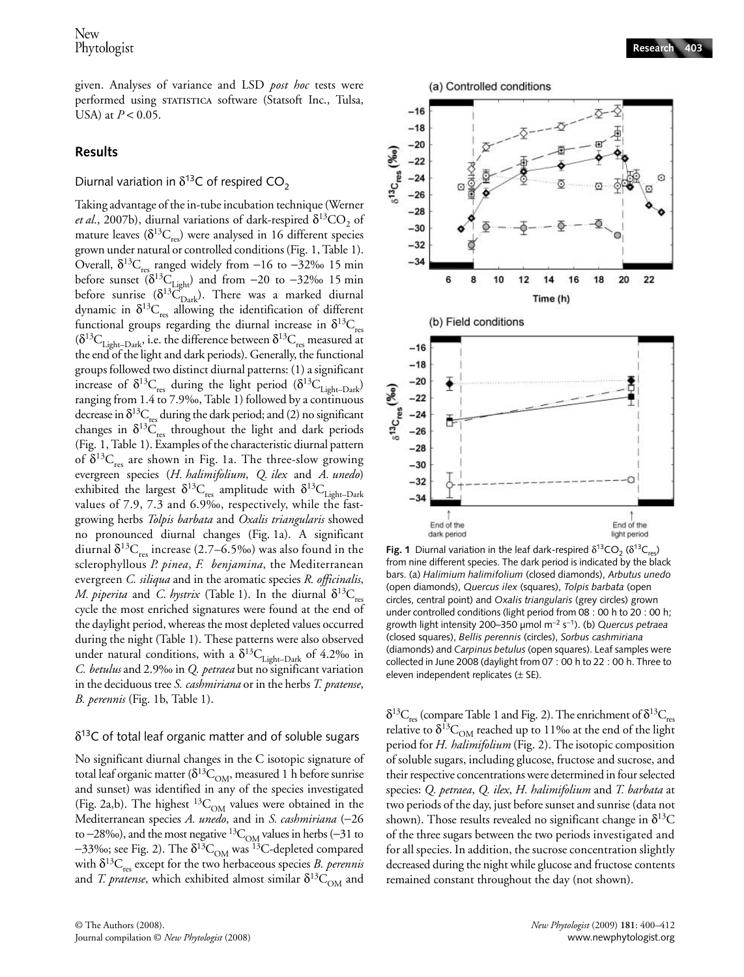given. Analyses of variance and LSD *post hoc* tests were performed using statistica software (Statsoft Inc., Tulsa, USA) at *P* < 0.05.

## **Results**

# Diurnal variation in  $\delta^{13}$ C of respired CO<sub>2</sub>

Taking advantage of the in-tube incubation technique (Werner *et al.*, 2007b), diurnal variations of dark-respired  $\delta^{13}CO$ , of mature leaves  $(\delta^{13}C_{res})$  were analysed in 16 different species grown under natural or controlled conditions (Fig. 1, Table 1). Overall,  $δ<sup>13</sup>C<sub>res</sub>$  ranged widely from −16 to −32‰ 15 min before sunset ( $\delta^{13}C_{\text{Light}}$ ) and from −20 to −32‰ 15 min before sunrise  $(\delta^{13}C_{\text{Dark}})$ . There was a marked diurnal dynamic in  $\delta^{13}C_{res}$  allowing the identification of different functional groups regarding the diurnal increase in  $\delta^{13}C_{res}$  $(\delta^{13}C_{\text{Light-Dark}})$  i.e. the difference between  $\delta^{13}C_{\text{res}}$  measured at the end of the light and dark periods). Generally, the functional groups followed two distinct diurnal patterns: (1) a significant increase of  $\delta^{13}C_{res}$  during the light period  $(\delta^{13}C_{Light-Dark})$ ranging from 1.4 to 7.9‰, Table 1) followed by a continuous decrease in  $\delta^{13}C_{res}$  during the dark period; and (2) no significant changes in  $\delta^{13}C_{res}$  throughout the light and dark periods (Fig. 1, Table 1). Examples of the characteristic diurnal pattern of  $\delta^{13}C_{res}$  are shown in Fig. 1a. The three-slow growing evergreen species (*H. halimifolium*, *Q. ilex* and *A. unedo*) exhibited the largest  $\delta^{13}C_{res}$  amplitude with  $\delta^{13}C_{Light-Dark}$ values of 7.9, 7.3 and 6.9‰, respectively, while the fastgrowing herbs *Tolpis barbata* and *Oxalis triangularis* showed no pronounced diurnal changes (Fig. 1a). A significant diurnal  $\delta^{13}C_{res}$  increase (2.7–6.5‰) was also found in the sclerophyllous *P. pinea*, *F. benjamina*, the Mediterranean evergreen *C. siliqua* and in the aromatic species *R. officinalis*, *M. piperita* and *C. hystrix* (Table 1). In the diurnal  $\delta^{13}C_{res}$ cycle the most enriched signatures were found at the end of the daylight period, whereas the most depleted values occurred during the night (Table 1). These patterns were also observed under natural conditions, with a  $\delta^{13}C_{\text{Light-Dark}}$  of 4.2‰ in *C. betulus* and 2.9‰ in *Q. petraea* but no significant variation in the deciduous tree *S. cashmiriana* or in the herbs *T. pratense*, *B. perennis* (Fig. 1b, Table 1).

#### $\delta^{13}$ C of total leaf organic matter and of soluble sugars

No significant diurnal changes in the C isotopic signature of total leaf organic matter ( $\delta^{13}C_{OM}$ , measured 1 h before sunrise and sunset) was identified in any of the species investigated (Fig. 2a,b). The highest  ${}^{13}C_{OM}$  values were obtained in the Mediterranean species *A. unedo*, and in *S. cashmiriana* (−26 to −28‰), and the most negative  ${}^{13}C_{OM}$  values in herbs (−31 to  $-33\%$ ; see Fig. 2). The  $\delta^{13}C_{OM}$  was  $13C$ -depleted compared with  $\delta^{13}C_{res}$  except for the two herbaceous species *B. perennis* and *T. pratense*, which exhibited almost similar  $\delta^{13}C_{OM}$  and



**Fig. 1** Diurnal variation in the leaf dark-respired  $\delta^{13}CO$ <sub>2</sub> ( $\delta^{13}C_{\text{rec}}$ ) from nine different species. The dark period is indicated by the black bars. (a) *Halimium halimifolium* (closed diamonds), *Arbutus unedo*  (open diamonds), *Quercus ilex* (squares), *Tolpis barbata* (open circles, central point) and *Oxalis triangularis* (grey circles) grown under controlled conditions (light period from 08 : 00 h to 20 : 00 h; growth light intensity 200–350 µmol m<sup>−</sup><sup>2</sup> s<sup>−</sup>1). (b) *Quercus petraea*  (closed squares), *Bellis perennis* (circles), *Sorbus cashmiriana*  (diamonds) and *Carpinus betulus* (open squares). Leaf samples were collected in June 2008 (daylight from 07 : 00 h to 22 : 00 h. Three to eleven independent replicates  $(\pm$  SE).

 $\delta^{13}C_{res}$  (compare Table 1 and Fig. 2). The enrichment of  $\delta^{13}C_{res}$ relative to  $\delta^{13}C_{OM}$  reached up to 11‰ at the end of the light period for *H. halimifolium* (Fig. 2). The isotopic composition of soluble sugars, including glucose, fructose and sucrose, and their respective concentrations were determined in four selected species: *Q. petraea*, *Q. ilex*, *H. halimifolium* and *T. barbata* at two periods of the day, just before sunset and sunrise (data not shown). Those results revealed no significant change in  $\delta^{13}C$ of the three sugars between the two periods investigated and for all species. In addition, the sucrose concentration slightly decreased during the night while glucose and fructose contents remained constant throughout the day (not shown).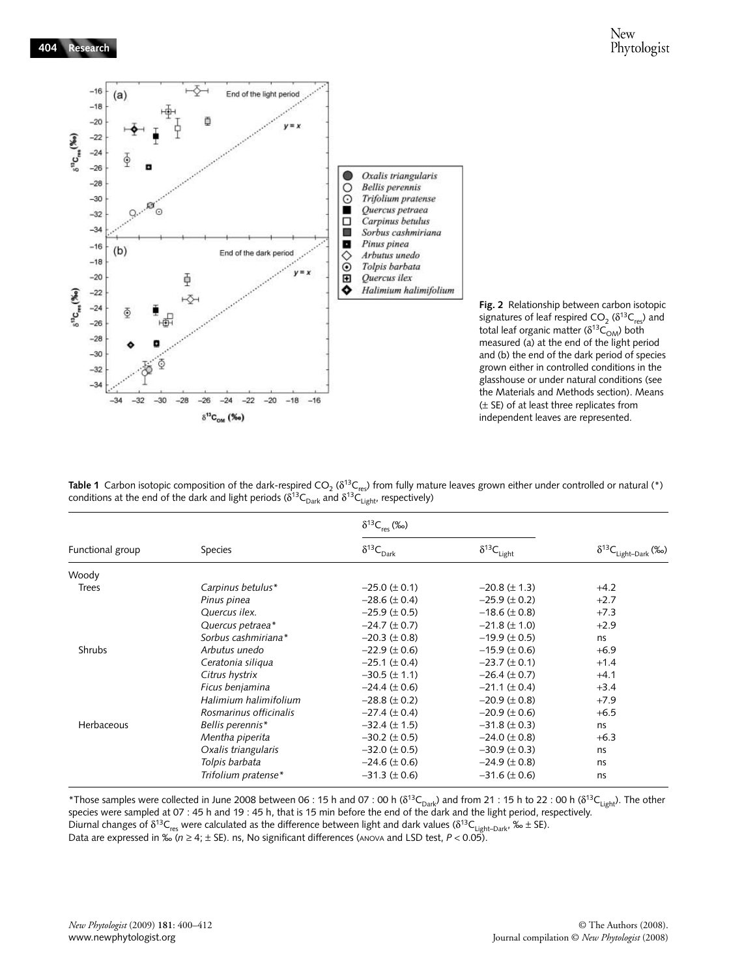



Table 1 Carbon isotopic composition of the dark-respired CO<sub>2</sub> ( $\delta^{13}C_{res}$ ) from fully mature leaves grown either under controlled or natural (\*) conditions at the end of the dark and light periods ( $\delta^{13}C_{Dark}$  and  $\delta^{13}C_{Light}$ , respectively)

| Functional group | Species                | $\delta^{13}C_{res}$ (‰)     |                        |                                 |
|------------------|------------------------|------------------------------|------------------------|---------------------------------|
|                  |                        | $\delta^{13}C_{\text{Dark}}$ | $\delta^{13}C_{Light}$ | $\delta^{13}C_{Light-Dark}$ (‰) |
| Woody            |                        |                              |                        |                                 |
| <b>Trees</b>     | Carpinus betulus*      | $-25.0 \ (\pm 0.1)$          | $-20.8 (\pm 1.3)$      | $+4.2$                          |
|                  | Pinus pinea            | $-28.6 (\pm 0.4)$            | $-25.9 \ (\pm 0.2)$    | $+2.7$                          |
|                  | Quercus ilex.          | $-25.9 \ (\pm 0.5)$          | $-18.6 (\pm 0.8)$      | $+7.3$                          |
|                  | Quercus petraea*       | $-24.7 (\pm 0.7)$            | $-21.8 (\pm 1.0)$      | $+2.9$                          |
|                  | Sorbus cashmiriana*    | $-20.3 (\pm 0.8)$            | $-19.9 (\pm 0.5)$      | ns.                             |
| Shrubs           | Arbutus unedo          | $-22.9 (\pm 0.6)$            | $-15.9 \ (\pm 0.6)$    | $+6.9$                          |
|                  | Ceratonia siliqua      | $-25.1 (\pm 0.4)$            | $-23.7 (\pm 0.1)$      | $+1.4$                          |
|                  | Citrus hystrix         | $-30.5$ ( $\pm$ 1.1)         | $-26.4 \ (\pm 0.7)$    | $+4.1$                          |
|                  | Ficus benjamina        | $-24.4 (\pm 0.6)$            | $-21.1 (\pm 0.4)$      | $+3.4$                          |
|                  | Halimium halimifolium  | $-28.8 (\pm 0.2)$            | $-20.9 (\pm 0.8)$      | $+7.9$                          |
|                  | Rosmarinus officinalis | $-27.4 \ (\pm 0.4)$          | $-20.9$ ( $\pm$ 0.6)   | $+6.5$                          |
| Herbaceous       | Bellis perennis*       | $-32.4 (\pm 1.5)$            | $-31.8 (\pm 0.3)$      | ns                              |
|                  | Mentha piperita        | $-30.2 \ (\pm 0.5)$          | $-24.0 \ (\pm 0.8)$    | $+6.3$                          |
|                  | Oxalis triangularis    | $-32.0 (\pm 0.5)$            | $-30.9 (\pm 0.3)$      | ns                              |
|                  | Tolpis barbata         | $-24.6 (\pm 0.6)$            | $-24.9 (\pm 0.8)$      | ns                              |
|                  | Trifolium pratense*    | $-31.3 (\pm 0.6)$            | $-31.6 (\pm 0.6)$      | ns                              |

\*Those samples were collected in June 2008 between 06 : 15 h and 07 : 00 h ( $\delta^{13}C_{Dark}$ ) and from 21 : 15 h to 22 : 00 h ( $\delta^{13}C_{Light}$ ). The other species were sampled at 07 : 45 h and 19 : 45 h, that is 15 min before the end of the dark and the light period, respectively. Diurnal changes of  $\delta^{13}C_{\rm res}$  were calculated as the difference between light and dark values ( $\delta^{13}C_{\rm Light-Dark}$ , ‰  $\pm$  SE).

Data are expressed in ‰ ( $n \geq 4$ ;  $\pm$  SE). ns, No significant differences (<code>ANOVA</code> and LSD test,  $P < 0.05$ ).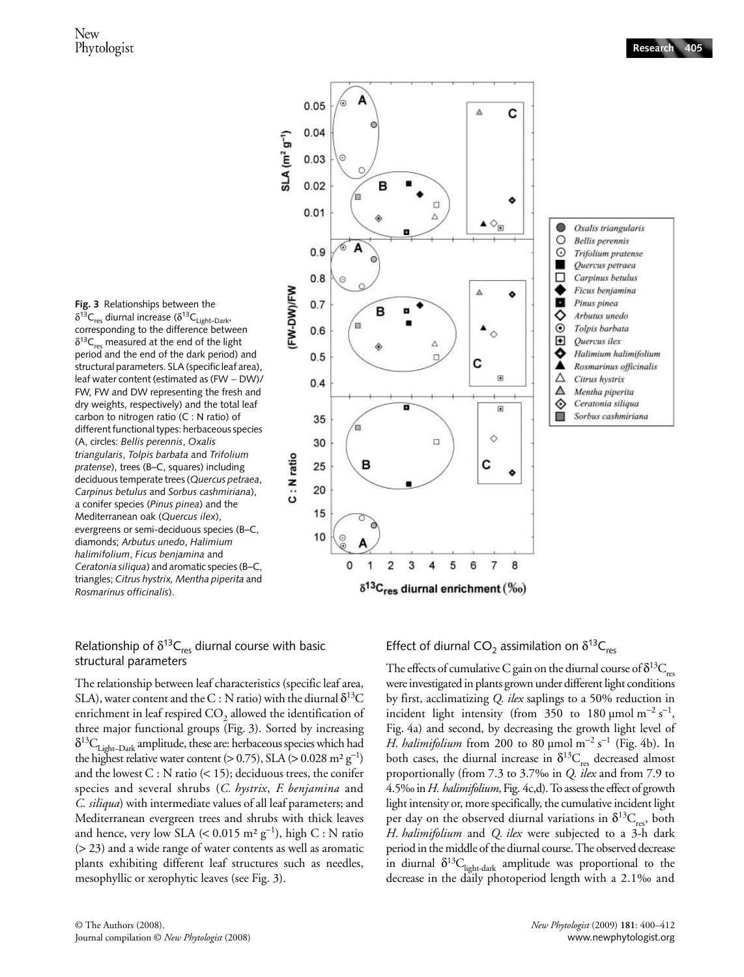

**Fig. 3** Relationships between the  $\delta^{13}C_{\text{res}}$  diurnal increase ( $\delta^{13}C_{\text{light-Dark}}$ corresponding to the difference between  $\delta^{13}C_{res}$  measured at the end of the light period and the end of the dark period) and structural parameters. SLA (specific leaf area), leaf water content (estimated as (FW − DW)/ FW, FW and DW representing the fresh and dry weights, respectively) and the total leaf carbon to nitrogen ratio (C : N ratio) of different functional types: herbaceous species (A, circles: *Bellis perennis*, *Oxalis triangularis*, *Tolpis barbata* and *Trifolium pratense*), trees (B–C, squares) including deciduous temperate trees (*Quercus petraea*, *Carpinus betulus* and *Sorbus cashmiriana*), a conifer species (*Pinus pinea*) and the Mediterranean oak (*Quercus ilex*), evergreens or semi-deciduous species (B–C, diamonds; *Arbutus unedo*, *Halimium halimifolium*, *Ficus benjamina* and *Ceratonia siliqua*) and aromatic species (B–C, triangles; *Citrus hystrix, Mentha piperita* and *Rosmarinus officinalis*).

## Relationship of  $\delta^{13}C_{res}$  diurnal course with basic structural parameters

The relationship between leaf characteristics (specific leaf area, SLA), water content and the C : N ratio) with the diurnal  $\delta^{13}C$ enrichment in leaf respired  $CO<sub>2</sub>$  allowed the identification of three major functional groups (Fig. 3). Sorted by increasing  $\delta^{13}C_{\text{Light-Dark}}$  amplitude, these are: herbaceous species which had the highest relative water content (> 0.75), SLA (> 0.028 m<sup>2</sup> g<sup>-1</sup>) and the lowest  $C : N$  ratio  $( $15$ ); deciduous trees, the conifer$ species and several shrubs (*C. hystrix*, *F. benjamina* and *C. siliqua*) with intermediate values of all leaf parameters; and Mediterranean evergreen trees and shrubs with thick leaves and hence, very low SLA  $(< 0.015 \text{ m}^2 \text{ g}^{-1})$ , high C : N ratio (> 23) and a wide range of water contents as well as aromatic plants exhibiting different leaf structures such as needles, mesophyllic or xerophytic leaves (see Fig. 3).

Effect of diurnal CO<sub>2</sub> assimilation on  $\delta^{13}C_{res}$ 

The effects of cumulative C gain on the diurnal course of  $\delta^{13}C_{res}$ were investigated in plants grown under different light conditions by first, acclimatizing *Q. ilex* saplings to a 50% reduction in incident light intensity (from 350 to 180 µmol m<sup>-2</sup> s<sup>-1</sup>, Fig. 4a) and second, by decreasing the growth light level of *H. halimifolium* from 200 to 80 µmol m<sup>-2</sup> s<sup>-1</sup> (Fig. 4b). In both cases, the diurnal increase in  $\delta^{13}C_{res}$  decreased almost proportionally (from 7.3 to 3.7‰ in *Q. ilex* and from 7.9 to 4.5‰ in *H. halimifolium*, Fig. 4c,d). To assess the effect of growth light intensity or, more specifically, the cumulative incident light per day on the observed diurnal variations in  $\delta^{13}C_{\text{res}}$ , both *H. halimifolium* and *Q. ilex* were subjected to a 3-h dark period in the middle of the diurnal course. The observed decrease in diurnal  $\delta^{13}C_{light-dark}$  amplitude was proportional to the decrease in the daily photoperiod length with a 2.1‰ and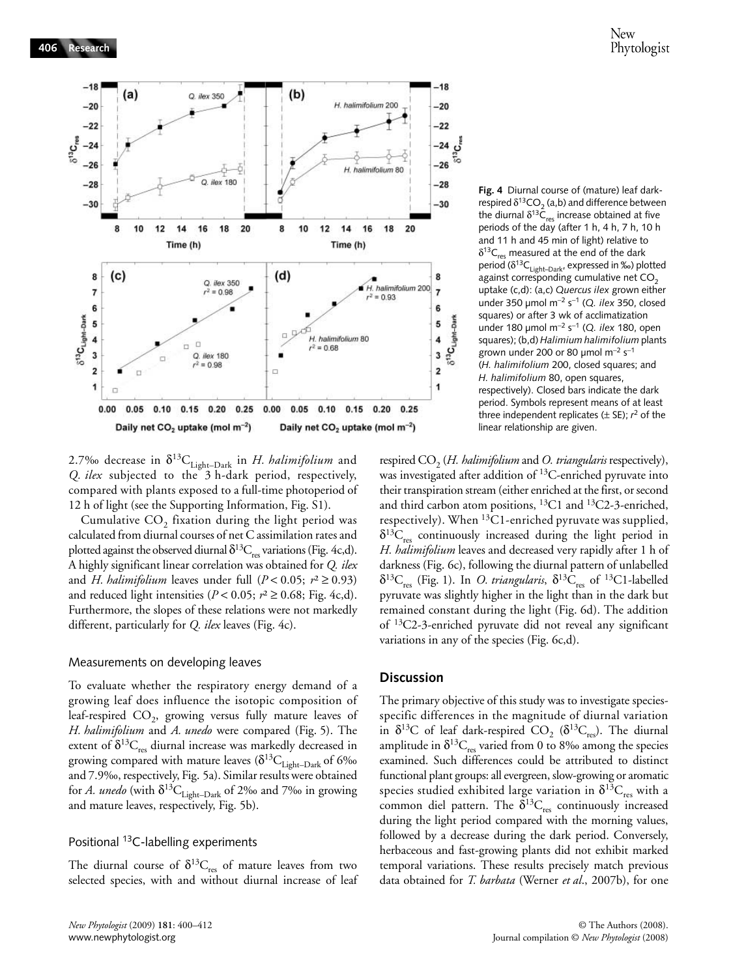

2.7‰ decrease in  $\delta^{13}C_{\text{Light-Dark}}$  in *H. halimifolium* and *Q. ilex* subjected to the 3 h-dark period, respectively, compared with plants exposed to a full-time photoperiod of 12 h of light (see the Supporting Information, Fig. S1).

Cumulative  $CO<sub>2</sub>$  fixation during the light period was calculated from diurnal courses of net C assimilation rates and plotted against the observed diurnal  $\delta^{13}C_{res}$  variations (Fig. 4c,d). A highly significant linear correlation was obtained for *Q. ilex* and *H. halimifolium* leaves under full  $(P < 0.05; r^2 \ge 0.93)$ and reduced light intensities ( $P < 0.05$ ;  $r^2 \ge 0.68$ ; Fig. 4c,d). Furthermore, the slopes of these relations were not markedly different, particularly for *Q. ilex* leaves (Fig. 4c).

#### Measurements on developing leaves

To evaluate whether the respiratory energy demand of a growing leaf does influence the isotopic composition of leaf-respired  $CO<sub>2</sub>$ , growing versus fully mature leaves of *H. halimifolium* and *A. unedo* were compared (Fig. 5). The extent of  $\delta^{13}C_{res}$  diurnal increase was markedly decreased in growing compared with mature leaves  $(\delta^{13}C_{\text{Light-Dark}})$  of 6‰ and 7.9‰, respectively, Fig. 5a). Similar results were obtained for *A. unedo* (with  $\delta^{13}C_{\text{Light-Dark}}$  of 2‰ and 7‰ in growing and mature leaves, respectively, Fig. 5b).

## Positional 13C-labelling experiments

The diurnal course of  $\delta^{13}C_{res}$  of mature leaves from two selected species, with and without diurnal increase of leaf **Fig. 4** Diurnal course of (mature) leaf darkrespired  $\delta^{13}CO_2$  (a,b) and difference between the diurnal  $\delta^{13} \bar{C}_{res}$  increase obtained at five periods of the day (after 1 h, 4 h, 7 h, 10 h and 11 h and 45 min of light) relative to  $\delta^{13}C_{res}$  measured at the end of the dark period ( $\delta^{13}C_{\text{Light-Dark}}$ , expressed in ‰) plotted against corresponding cumulative net  $CO<sub>2</sub>$ uptake (c,d): (a,c) *Quercus ilex* grown either under 350 µmol m<sup>−</sup><sup>2</sup> s<sup>−</sup>1 (*Q. ilex* 350, closed squares) or after 3 wk of acclimatization under 180 µmol m<sup>−</sup><sup>2</sup> s<sup>−</sup>1 (*Q. ilex* 180, open squares); (b,d) *Halimium halimifolium* plants grown under 200 or 80 µmol m<sup>-2</sup> s<sup>-1</sup> (*H. halimifolium* 200, closed squares; and *H. halimifolium* 80, open squares, respectively). Closed bars indicate the dark period. Symbols represent means of at least three independent replicates (± SE); *r* 2 of the linear relationship are given.

respired CO<sub>2</sub> (*H. halimifolium* and *O. triangularis* respectively), was investigated after addition of <sup>13</sup>C-enriched pyruvate into their transpiration stream (either enriched at the first, or second and third carbon atom positions,  ${}^{13}$ C1 and  ${}^{13}$ C2-3-enriched, respectively). When <sup>13</sup>C1-enriched pyruvate was supplied,  $\delta^{13}C_{res}$  continuously increased during the light period in *H. halimifolium* leaves and decreased very rapidly after 1 h of darkness (Fig. 6c), following the diurnal pattern of unlabelled  $\delta^{13}C_{res}$  (Fig. 1). In *O. triangularis*,  $\delta^{13}C_{res}$  of <sup>13</sup>C1-labelled pyruvate was slightly higher in the light than in the dark but remained constant during the light (Fig. 6d). The addition of 13C2-3-enriched pyruvate did not reveal any significant variations in any of the species (Fig. 6c,d).

#### **Discussion**

The primary objective of this study was to investigate speciesspecific differences in the magnitude of diurnal variation in  $\delta^{13}$ C of leaf dark-respired CO<sub>2</sub> ( $\delta^{13}$ C<sub>res</sub>). The diurnal amplitude in  $\delta^{13}C_{res}$  varied from 0 to 8‰ among the species examined. Such differences could be attributed to distinct functional plant groups: all evergreen, slow-growing or aromatic species studied exhibited large variation in  $\delta^{13}C_{res}$  with a common diel pattern. The  $\delta^{13}C_{res}$  continuously increased during the light period compared with the morning values, followed by a decrease during the dark period. Conversely, herbaceous and fast-growing plants did not exhibit marked temporal variations. These results precisely match previous data obtained for *T. barbata* (Werner *et al*., 2007b), for one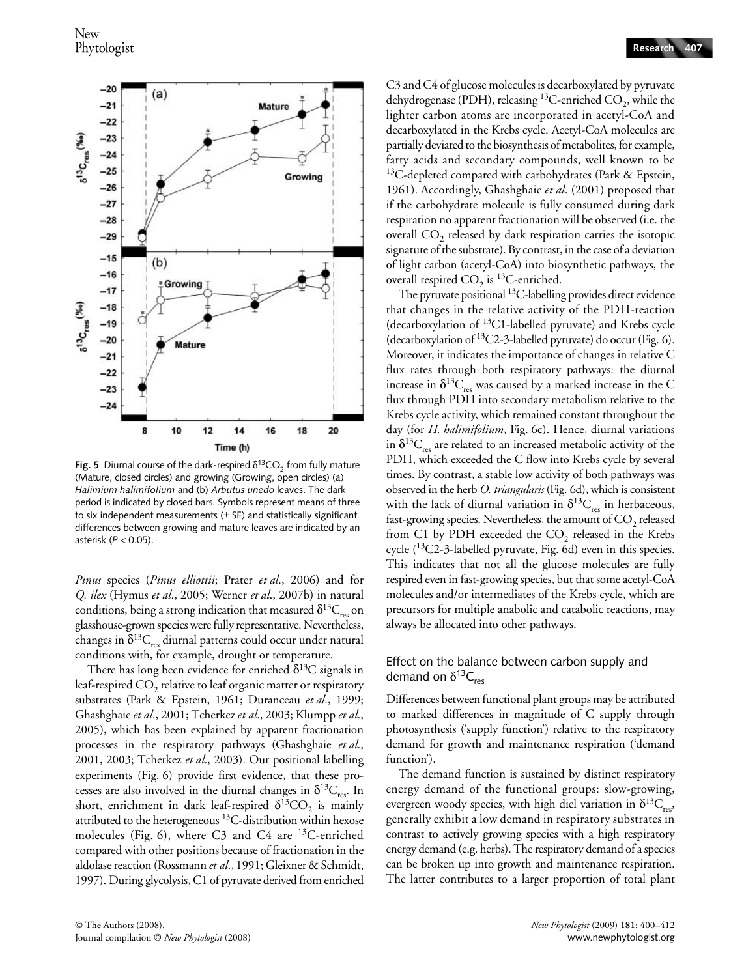

**Fig. 5** Diurnal course of the dark-respired  $\delta^{13}$ CO<sub>2</sub> from fully mature (Mature, closed circles) and growing (Growing, open circles) (a) *Halimium halimifolium* and (b) *Arbutus unedo* leaves. The dark period is indicated by closed bars. Symbols represent means of three to six independent measurements  $(\pm$  SE) and statistically significant differences between growing and mature leaves are indicated by an asterisk (*P* < 0.05).

*Pinus* species (*Pinus elliottii*; Prater *et al*., 2006) and for *Q. ilex* (Hymus *et al*., 2005; Werner *et al*., 2007b) in natural conditions, being a strong indication that measured  $\delta^{13}C_{\text{res}}$  on glasshouse-grown species were fully representative. Nevertheless, changes in  $\delta^{13}C_{res}$  diurnal patterns could occur under natural conditions with, for example, drought or temperature.

There has long been evidence for enriched  $\delta^{13}C$  signals in leaf-respired  $CO<sub>2</sub>$  relative to leaf organic matter or respiratory substrates (Park & Epstein, 1961; Duranceau *et al*., 1999; Ghashghaie *et al*., 2001; Tcherkez *et al*., 2003; Klumpp *et al*., 2005), which has been explained by apparent fractionation processes in the respiratory pathways (Ghashghaie *et al*., 2001, 2003; Tcherkez *et al*., 2003). Our positional labelling experiments (Fig. 6) provide first evidence, that these processes are also involved in the diurnal changes in  $\delta^{13}C_{res}$ . In short, enrichment in dark leaf-respired  $\delta^{13}CO_2$  is mainly attributed to the heterogeneous 13C-distribution within hexose molecules (Fig. 6), where C3 and C4 are 13C-enriched compared with other positions because of fractionation in the aldolase reaction (Rossmann *et al*., 1991; Gleixner & Schmidt, 1997). During glycolysis, C1 of pyruvate derived from enriched C3 and C4 of glucose molecules is decarboxylated by pyruvate dehydrogenase (PDH), releasing  $^{13}$ C-enriched CO<sub>2</sub>, while the lighter carbon atoms are incorporated in acetyl-CoA and decarboxylated in the Krebs cycle. Acetyl-CoA molecules are partially deviated to the biosynthesis of metabolites, for example, fatty acids and secondary compounds, well known to be <sup>13</sup>C-depleted compared with carbohydrates (Park & Epstein, 1961). Accordingly, Ghashghaie *et al*. (2001) proposed that if the carbohydrate molecule is fully consumed during dark respiration no apparent fractionation will be observed (i.e. the overall  $CO<sub>2</sub>$  released by dark respiration carries the isotopic signature of the substrate). By contrast, in the case of a deviation of light carbon (acetyl-CoA) into biosynthetic pathways, the overall respired  $CO_2$  is <sup>13</sup>C-enriched.

The pyruvate positional <sup>13</sup>C-labelling provides direct evidence that changes in the relative activity of the PDH-reaction (decarboxylation of 13C1-labelled pyruvate) and Krebs cycle (decarboxylation of 13C2-3-labelled pyruvate) do occur (Fig. 6). Moreover, it indicates the importance of changes in relative C flux rates through both respiratory pathways: the diurnal increase in  $\delta^{13}C_{res}$  was caused by a marked increase in the C flux through PDH into secondary metabolism relative to the Krebs cycle activity, which remained constant throughout the day (for *H. halimifolium*, Fig. 6c). Hence, diurnal variations in  $\delta^{13}C_{res}$  are related to an increased metabolic activity of the PDH, which exceeded the C flow into Krebs cycle by several times. By contrast, a stable low activity of both pathways was observed in the herb *O. triangularis* (Fig. 6d), which is consistent with the lack of diurnal variation in  $\delta^{13}C_{res}$  in herbaceous, fast-growing species. Nevertheless, the amount of  $\mathrm{CO}_2$  released from  $C1$  by PDH exceeded the  $CO<sub>2</sub>$  released in the Krebs cycle  $(^{13}C2-3$ -labelled pyruvate, Fig. 6d) even in this species. This indicates that not all the glucose molecules are fully respired even in fast-growing species, but that some acetyl-CoA molecules and/or intermediates of the Krebs cycle, which are precursors for multiple anabolic and catabolic reactions, may always be allocated into other pathways.

## Effect on the balance between carbon supply and demand on  $\delta^{13}C_{res}$

Differences between functional plant groups may be attributed to marked differences in magnitude of C supply through photosynthesis ('supply function') relative to the respiratory demand for growth and maintenance respiration ('demand function').

The demand function is sustained by distinct respiratory energy demand of the functional groups: slow-growing, evergreen woody species, with high diel variation in  $\delta^{13}C_{res}$ , generally exhibit a low demand in respiratory substrates in contrast to actively growing species with a high respiratory energy demand (e.g. herbs). The respiratory demand of a species can be broken up into growth and maintenance respiration. The latter contributes to a larger proportion of total plant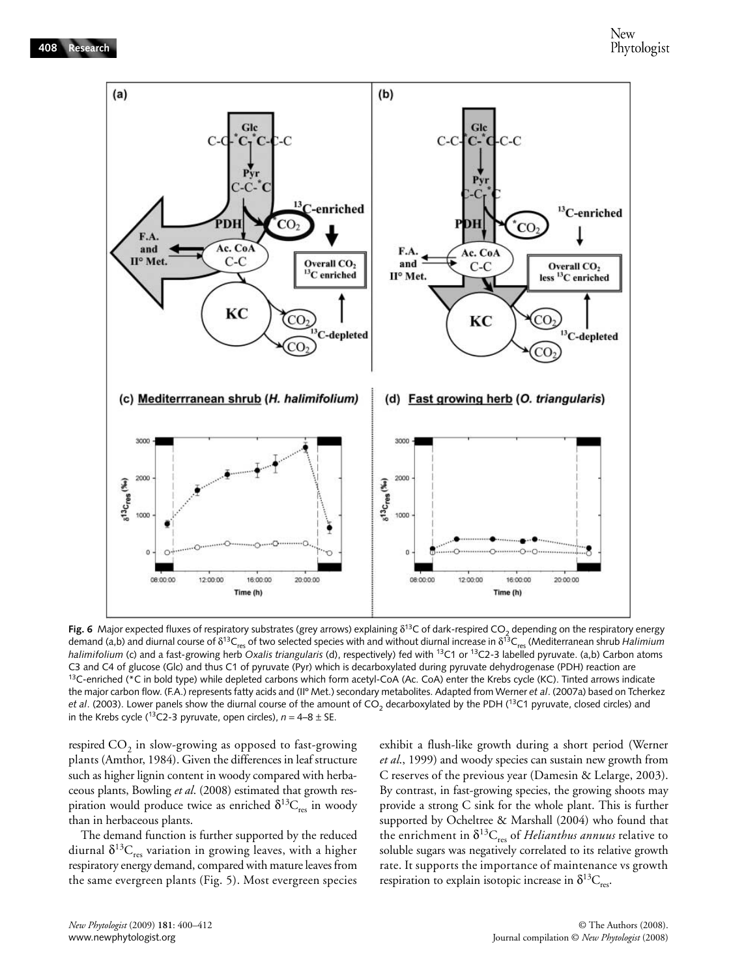

Fig. 6 Major expected fluxes of respiratory substrates (grey arrows) explaining  $\delta^{13}$ C of dark-respired CO<sub>2</sub> depending on the respiratory energy demand (a,b) and diurnal course of δ<sup>13</sup>C<sub>res</sub> of two selected species with and without diurnal increase in δ<sup>13</sup>C<sub>res</sub> (Mediterranean shrub *Halimium halimifolium* (c) and a fast-growing herb *Oxalis triangularis* (d), respectively) fed with <sup>13</sup>C1 or <sup>13</sup>C2-3 labelled pyruvate. (a,b) Carbon atoms C3 and C4 of glucose (Glc) and thus C1 of pyruvate (Pyr) which is decarboxylated during pyruvate dehydrogenase (PDH) reaction are<br><sup>13</sup>C-enriched (\*C in bold type) while depleted carbons which form acetyl-CoA (Ac. CoA) ent the major carbon flow. (F.A.) represents fatty acids and (IIº Met.) secondary metabolites. Adapted from Werner *et al*. (2007a) based on Tcherkez *et al.* (2003). Lower panels show the diurnal course of the amount of CO<sub>2</sub> decarboxylated by the PDH (<sup>13</sup>C1 pyruvate, closed circles) and in the Krebs cycle (<sup>13</sup>C2-3 pyruvate, open circles),  $n = 4-8 \pm S$ E.

respired  $CO<sub>2</sub>$  in slow-growing as opposed to fast-growing plants (Amthor, 1984). Given the differences in leaf structure such as higher lignin content in woody compared with herbaceous plants, Bowling *et al*. (2008) estimated that growth respiration would produce twice as enriched  $\delta^{13}C_{res}$  in woody than in herbaceous plants.

The demand function is further supported by the reduced diurnal  $\delta^{13}C_{res}$  variation in growing leaves, with a higher respiratory energy demand, compared with mature leaves from the same evergreen plants (Fig. 5). Most evergreen species

exhibit a flush-like growth during a short period (Werner *et al*., 1999) and woody species can sustain new growth from C reserves of the previous year (Damesin & Lelarge, 2003). By contrast, in fast-growing species, the growing shoots may provide a strong C sink for the whole plant. This is further supported by Ocheltree & Marshall (2004) who found that the enrichment in  $\delta^{13}C_{res}$  of *Helianthus annuus* relative to soluble sugars was negatively correlated to its relative growth rate. It supports the importance of maintenance vs growth respiration to explain isotopic increase in  $\delta^{13}C_{res}$ .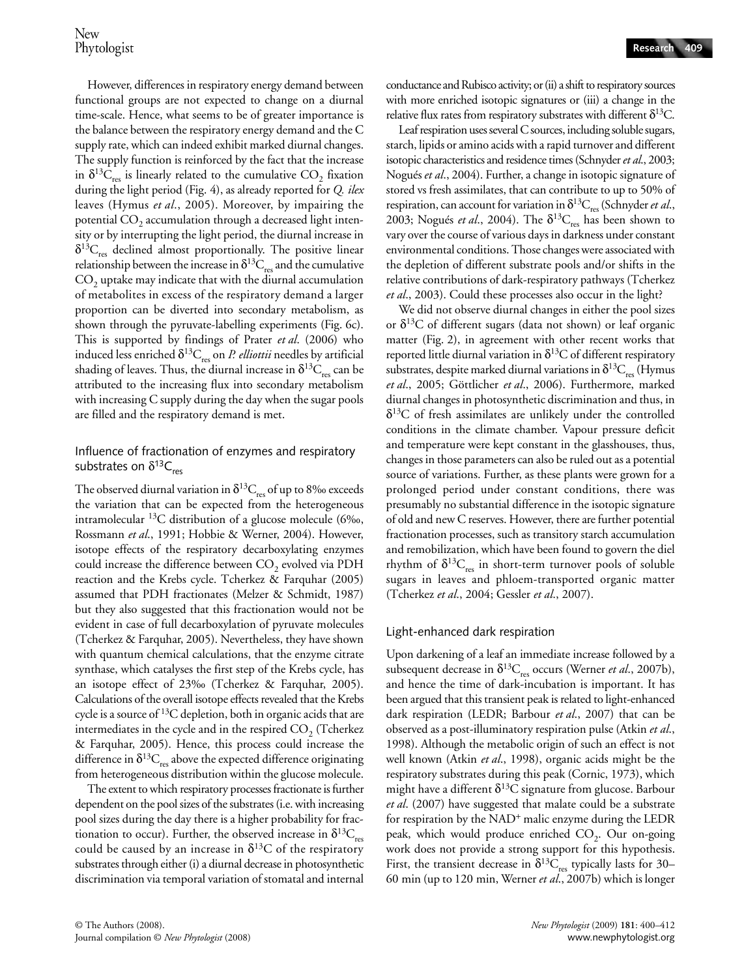However, differences in respiratory energy demand between functional groups are not expected to change on a diurnal time-scale. Hence, what seems to be of greater importance is the balance between the respiratory energy demand and the C supply rate, which can indeed exhibit marked diurnal changes. The supply function is reinforced by the fact that the increase in  $\delta^{13}C_{res}$  is linearly related to the cumulative CO<sub>2</sub> fixation during the light period (Fig. 4), as already reported for *Q. ilex* leaves (Hymus *et al*., 2005). Moreover, by impairing the potential  $CO<sub>2</sub>$  accumulation through a decreased light intensity or by interrupting the light period, the diurnal increase in  $\delta^{13}C_{res}$  declined almost proportionally. The positive linear relationship between the increase in  $\delta^{13}C_{res}$  and the cumulative  $CO<sub>2</sub>$  uptake may indicate that with the diurnal accumulation of metabolites in excess of the respiratory demand a larger proportion can be diverted into secondary metabolism, as shown through the pyruvate-labelling experiments (Fig. 6c). This is supported by findings of Prater *et al*. (2006) who induced less enriched  $\delta^{13}C_{res}$  on *P. elliottii* needles by artificial shading of leaves. Thus, the diurnal increase in  $\delta^{13}C_{res}$  can be attributed to the increasing flux into secondary metabolism with increasing C supply during the day when the sugar pools are filled and the respiratory demand is met.

# Influence of fractionation of enzymes and respiratory substrates on  $\delta^{13}C_{res}$

The observed diurnal variation in  $\delta^{13}C_{res}$  of up to 8‰ exceeds the variation that can be expected from the heterogeneous intramolecular 13C distribution of a glucose molecule (6‰, Rossmann *et al*., 1991; Hobbie & Werner, 2004). However, isotope effects of the respiratory decarboxylating enzymes could increase the difference between CO<sub>2</sub> evolved via PDH reaction and the Krebs cycle. Tcherkez & Farquhar (2005) assumed that PDH fractionates (Melzer & Schmidt, 1987) but they also suggested that this fractionation would not be evident in case of full decarboxylation of pyruvate molecules (Tcherkez & Farquhar, 2005). Nevertheless, they have shown with quantum chemical calculations, that the enzyme citrate synthase, which catalyses the first step of the Krebs cycle, has an isotope effect of 23‰ (Tcherkez & Farquhar, 2005). Calculations of the overall isotope effects revealed that the Krebs cycle is a source of 13C depletion, both in organic acids that are intermediates in the cycle and in the respired  $CO<sub>2</sub>$  (Tcherkez & Farquhar, 2005). Hence, this process could increase the difference in  $\delta^{13}C_{res}$  above the expected difference originating from heterogeneous distribution within the glucose molecule.

The extent to which respiratory processes fractionate is further dependent on the pool sizes of the substrates (i.e. with increasing pool sizes during the day there is a higher probability for fractionation to occur). Further, the observed increase in  $\delta^{13}C_{res}$ could be caused by an increase in  $\delta^{13}$ C of the respiratory substrates through either (i) a diurnal decrease in photosynthetic discrimination via temporal variation of stomatal and internal conductance and Rubisco activity; or (ii) a shift to respiratory sources with more enriched isotopic signatures or (iii) a change in the relative flux rates from respiratory substrates with different  $\delta^{13}C$ .

Leaf respiration uses several C sources, including soluble sugars, starch, lipids or amino acids with a rapid turnover and different isotopic characteristics and residence times (Schnyder *et al*., 2003; Nogués *et al*., 2004). Further, a change in isotopic signature of stored vs fresh assimilates, that can contribute to up to 50% of respiration, can account for variation in  $\delta^{13}C_{res}$  (Schnyder *et al.*, 2003; Nogués *et al.*, 2004). The  $\delta^{13}C_{res}$  has been shown to vary over the course of various days in darkness under constant environmental conditions. Those changes were associated with the depletion of different substrate pools and/or shifts in the relative contributions of dark-respiratory pathways (Tcherkez *et al*., 2003). Could these processes also occur in the light?

We did not observe diurnal changes in either the pool sizes or  $\delta^{13}$ C of different sugars (data not shown) or leaf organic matter (Fig. 2), in agreement with other recent works that reported little diurnal variation in  $\delta^{13}$ C of different respiratory substrates, despite marked diurnal variations in  $\delta^{13}C_{res}$  (Hymus *et al*., 2005; Göttlicher *et al*., 2006). Furthermore, marked diurnal changes in photosynthetic discrimination and thus, in  $\delta^{13}$ C of fresh assimilates are unlikely under the controlled conditions in the climate chamber. Vapour pressure deficit and temperature were kept constant in the glasshouses, thus, changes in those parameters can also be ruled out as a potential source of variations. Further, as these plants were grown for a prolonged period under constant conditions, there was presumably no substantial difference in the isotopic signature of old and new C reserves. However, there are further potential fractionation processes, such as transitory starch accumulation and remobilization, which have been found to govern the diel rhythm of  $\delta^{13}C_{res}$  in short-term turnover pools of soluble sugars in leaves and phloem-transported organic matter (Tcherkez *et al*., 2004; Gessler *et al*., 2007).

## Light-enhanced dark respiration

Upon darkening of a leaf an immediate increase followed by a subsequent decrease in δ<sup>13</sup>C<sub>res</sub> occurs (Werner *et al.*, 2007b), and hence the time of dark-incubation is important. It has been argued that this transient peak is related to light-enhanced dark respiration (LEDR; Barbour *et al*., 2007) that can be observed as a post-illuminatory respiration pulse (Atkin *et al*., 1998). Although the metabolic origin of such an effect is not well known (Atkin *et al*., 1998), organic acids might be the respiratory substrates during this peak (Cornic, 1973), which might have a different  $\delta^{13}C$  signature from glucose. Barbour *et al*. (2007) have suggested that malate could be a substrate for respiration by the  $NAD^+$  malic enzyme during the LEDR peak, which would produce enriched  $CO<sub>2</sub>$ . Our on-going work does not provide a strong support for this hypothesis. First, the transient decrease in  $\delta^{13}C_{\text{res}}$  typically lasts for 30– 60 min (up to 120 min, Werner *et al*., 2007b) which is longer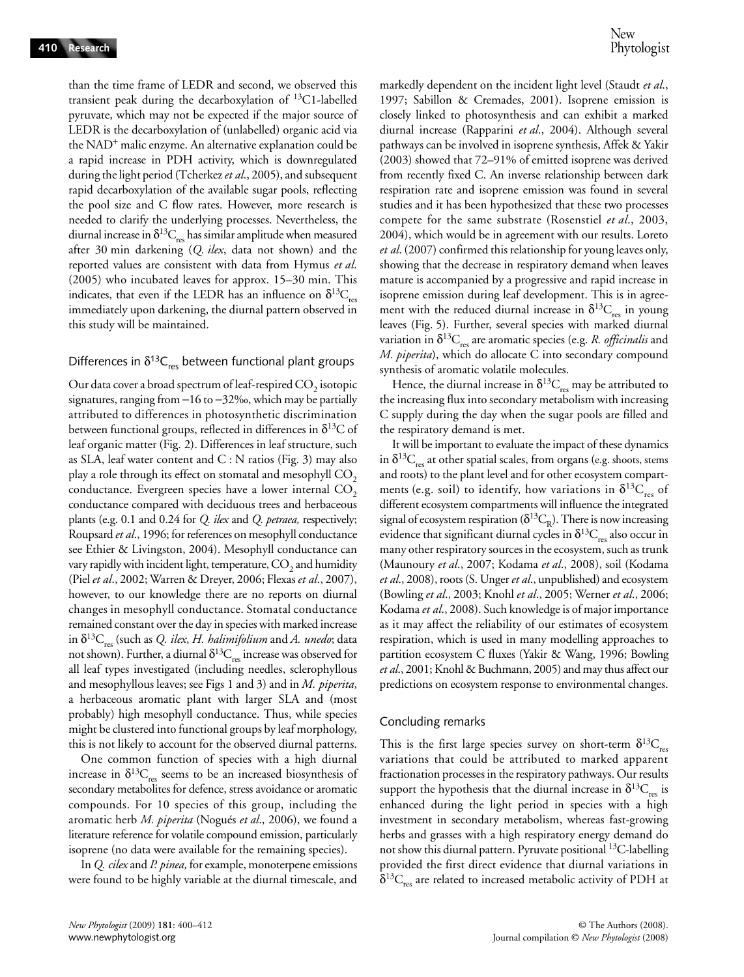than the time frame of LEDR and second, we observed this transient peak during the decarboxylation of 13C1-labelled pyruvate, which may not be expected if the major source of LEDR is the decarboxylation of (unlabelled) organic acid via the NAD<sup>+</sup> malic enzyme. An alternative explanation could be a rapid increase in PDH activity, which is downregulated during the light period (Tcherkez *et al*., 2005), and subsequent rapid decarboxylation of the available sugar pools, reflecting the pool size and C flow rates. However, more research is needed to clarify the underlying processes. Nevertheless, the diurnal increase in  $\delta^{13}C_{res}$  has similar amplitude when measured after 30 min darkening (*Q. ilex*, data not shown) and the reported values are consistent with data from Hymus *et al*. (2005) who incubated leaves for approx. 15–30 min. This indicates, that even if the LEDR has an influence on  $\delta^{13}C_{res}$ immediately upon darkening, the diurnal pattern observed in this study will be maintained.

#### Differences in  $\delta^{13}C_{\text{res}}$  between functional plant groups

Our data cover a broad spectrum of leaf-respired  $CO<sub>2</sub>$  isotopic signatures, ranging from −16 to −32‰, which may be partially attributed to differences in photosynthetic discrimination between functional groups, reflected in differences in  $\delta^{13}C$  of leaf organic matter (Fig. 2). Differences in leaf structure, such as SLA, leaf water content and C : N ratios (Fig. 3) may also play a role through its effect on stomatal and mesophyll  $CO<sub>2</sub>$ conductance. Evergreen species have a lower internal  $CO<sub>2</sub>$ conductance compared with deciduous trees and herbaceous plants (e.g. 0.1 and 0.24 for *Q. ilex* and *Q. petraea,* respectively; Roupsard *et al*., 1996; for references on mesophyll conductance see Ethier & Livingston, 2004). Mesophyll conductance can vary rapidly with incident light, temperature,  $CO<sub>2</sub>$  and humidity (Piel *et al*., 2002; Warren & Dreyer, 2006; Flexas *et al*., 2007), however, to our knowledge there are no reports on diurnal changes in mesophyll conductance. Stomatal conductance remained constant over the day in species with marked increase in  $\delta^{13}C_{res}$  (such as *Q. ilex, H. halimifolium* and *A. unedo*; data not shown). Further, a diurnal  $\delta^{13}C_{res}$  increase was observed for all leaf types investigated (including needles, sclerophyllous and mesophyllous leaves; see Figs 1 and 3) and in *M. piperita*, a herbaceous aromatic plant with larger SLA and (most probably) high mesophyll conductance. Thus, while species might be clustered into functional groups by leaf morphology, this is not likely to account for the observed diurnal patterns.

One common function of species with a high diurnal increase in  $\delta^{13}C_{res}$  seems to be an increased biosynthesis of secondary metabolites for defence, stress avoidance or aromatic compounds. For 10 species of this group, including the aromatic herb *M. piperita* (Nogués *et al*., 2006), we found a literature reference for volatile compound emission, particularly isoprene (no data were available for the remaining species).

In *Q. cilex* and *P. pinea,* for example, monoterpene emissions were found to be highly variable at the diurnal timescale, and markedly dependent on the incident light level (Staudt *et al*., 1997; Sabillon & Cremades, 2001). Isoprene emission is closely linked to photosynthesis and can exhibit a marked diurnal increase (Rapparini *et al*., 2004). Although several pathways can be involved in isoprene synthesis, Affek & Yakir (2003) showed that 72–91% of emitted isoprene was derived from recently fixed C. An inverse relationship between dark respiration rate and isoprene emission was found in several studies and it has been hypothesized that these two processes compete for the same substrate (Rosenstiel *et al*., 2003, 2004), which would be in agreement with our results. Loreto *et al*. (2007) confirmed this relationship for young leaves only, showing that the decrease in respiratory demand when leaves mature is accompanied by a progressive and rapid increase in isoprene emission during leaf development. This is in agreement with the reduced diurnal increase in  $\delta^{13}C_{res}$  in young leaves (Fig. 5). Further, several species with marked diurnal variation in  $\delta^{13}C_{res}$  are aromatic species (e.g. *R. officinalis* and *M. piperita*), which do allocate C into secondary compound synthesis of aromatic volatile molecules.

Hence, the diurnal increase in  $\delta^{13}C_{res}$  may be attributed to the increasing flux into secondary metabolism with increasing C supply during the day when the sugar pools are filled and the respiratory demand is met.

It will be important to evaluate the impact of these dynamics in  $\delta^{13}C_{res}$  at other spatial scales, from organs (e.g. shoots, stems and roots) to the plant level and for other ecosystem compartments (e.g. soil) to identify, how variations in  $\delta^{13}C_{res}$  of different ecosystem compartments will influence the integrated signal of ecosystem respiration ( $\delta^{13}C_R$ ). There is now increasing evidence that significant diurnal cycles in  $\delta^{13}C_{res}$  also occur in many other respiratory sources in the ecosystem, such as trunk (Maunoury *et al*., 2007; Kodama *et al*., 2008), soil (Kodama *et al*., 2008), roots (S. Unger *et al*., unpublished) and ecosystem (Bowling *et al*., 2003; Knohl *et al*., 2005; Werner *et al*., 2006; Kodama *et al*., 2008). Such knowledge is of major importance as it may affect the reliability of our estimates of ecosystem respiration, which is used in many modelling approaches to partition ecosystem C fluxes (Yakir & Wang, 1996; Bowling *et al*., 2001; Knohl & Buchmann, 2005) and may thus affect our predictions on ecosystem response to environmental changes.

#### Concluding remarks

This is the first large species survey on short-term  $\delta^{13}C_{\text{rec}}$ variations that could be attributed to marked apparent fractionation processes in the respiratory pathways. Our results support the hypothesis that the diurnal increase in  $\delta^{13}C_{res}$  is enhanced during the light period in species with a high investment in secondary metabolism, whereas fast-growing herbs and grasses with a high respiratory energy demand do not show this diurnal pattern. Pyruvate positional 13C-labelling provided the first direct evidence that diurnal variations in  $\delta^{13}C_{res}$  are related to increased metabolic activity of PDH at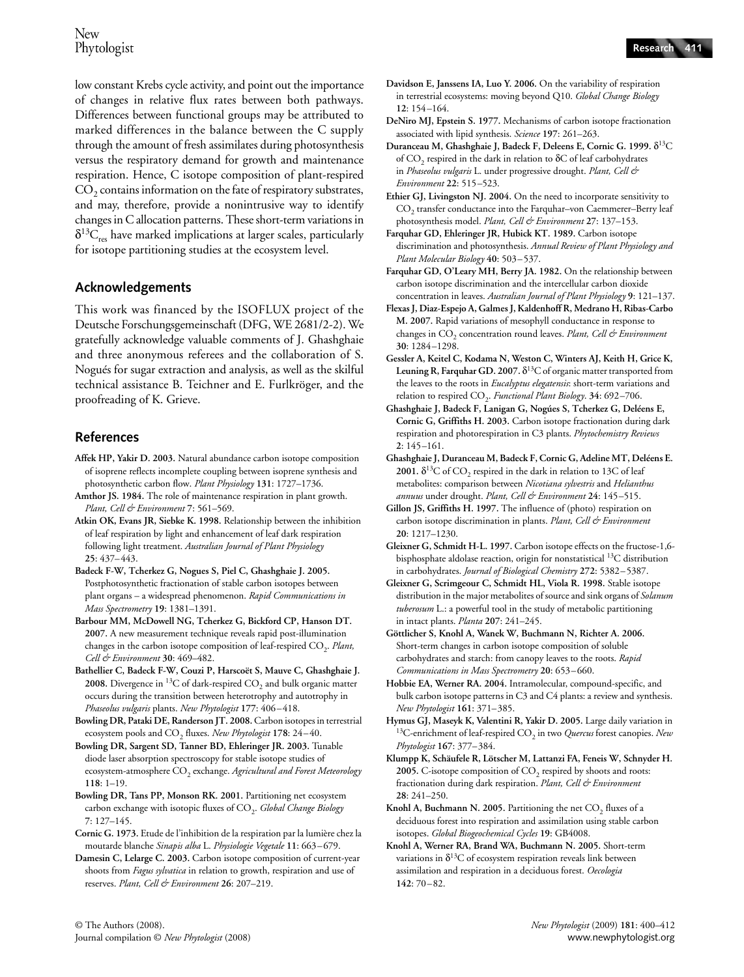low constant Krebs cycle activity, and point out the importance of changes in relative flux rates between both pathways. Differences between functional groups may be attributed to marked differences in the balance between the C supply through the amount of fresh assimilates during photosynthesis versus the respiratory demand for growth and maintenance respiration. Hence, C isotope composition of plant-respired  $\mathrm{CO}_2$  contains information on the fate of respiratory substrates, and may, therefore, provide a nonintrusive way to identify changes in C allocation patterns. These short-term variations in  $\delta^{13}C_{res}$  have marked implications at larger scales, particularly for isotope partitioning studies at the ecosystem level.

# **Acknowledgements**

This work was financed by the ISOFLUX project of the Deutsche Forschungsgemeinschaft (DFG, WE 2681/2-2). We gratefully acknowledge valuable comments of J. Ghashghaie and three anonymous referees and the collaboration of S. Nogués for sugar extraction and analysis, as well as the skilful technical assistance B. Teichner and E. Furlkröger, and the proofreading of K. Grieve.

# **References**

- **Affek HP, Yakir D. 2003.** Natural abundance carbon isotope composition of isoprene reflects incomplete coupling between isoprene synthesis and photosynthetic carbon flow. *Plant Physiology* **131**: 1727–1736.
- **Amthor JS. 1984.** The role of maintenance respiration in plant growth. *Plant, Cell & Environment* **7**: 561–569.

**Atkin OK, Evans JR, Siebke K. 1998.** Relationship between the inhibition of leaf respiration by light and enhancement of leaf dark respiration following light treatment. *Australian Journal of Plant Physiology* **25**: 437–443.

- **Badeck F-W, Tcherkez G, Nogues S, Piel C, Ghashghaie J. 2005.**  Postphotosynthetic fractionation of stable carbon isotopes between plant organs – a widespread phenomenon. *Rapid Communications in Mass Spectrometry* **19**: 1381–1391.
- **Barbour MM, McDowell NG, Tcherkez G, Bickford CP, Hanson DT. 2007.** A new measurement technique reveals rapid post-illumination changes in the carbon isotope composition of leaf-respired CO<sub>2</sub>. Plant, *Cell & Environment* **30**: 469–482.
- **Bathellier C, Badeck F-W, Couzi P, Harscoët S, Mauve C, Ghashghaie J.**  2008. Divergence in <sup>13</sup>C of dark-respired CO<sub>2</sub> and bulk organic matter occurs during the transition between heterotrophy and autotrophy in *Phaseolus vulgaris* plants. *New Phytologist* **177**: 406–418.
- **Bowling DR, Pataki DE, Randerson JT. 2008.** Carbon isotopes in terrestrial ecosystem pools and CO<sub>2</sub> fluxes. *New Phytologist* 178: 24-40.
- **Bowling DR, Sargent SD, Tanner BD, Ehleringer JR. 2003.** Tunable diode laser absorption spectroscopy for stable isotope studies of ecosystem-atmosphere CO<sub>2</sub> exchange. *Agricultural and Forest Meteorology* **118**: 1–19.
- **Bowling DR, Tans PP, Monson RK. 2001.** Partitioning net ecosystem carbon exchange with isotopic fluxes of CO<sub>2</sub>. *Global Change Biology* **7**: 127–145.
- **Cornic G. 1973.** Etude de l'inhibition de la respiration par la lumière chez la moutarde blanche *Sinapis alba* L. *Physiologie Vegetale* **11**: 663–679.
- **Damesin C, Lelarge C. 2003.** Carbon isotope composition of current-year shoots from *Fagus sylvatica* in relation to growth, respiration and use of reserves. *Plant, Cell & Environment* **26**: 207–219.
- **Davidson E, Janssens IA, Luo Y. 2006.** On the variability of respiration in terrestrial ecosystems: moving beyond Q10. *Global Change Biology* **12**: 154–164.
- **DeNiro MJ, Epstein S. 1977.** Mechanisms of carbon isotope fractionation associated with lipid synthesis. *Science* **197**: 261–263.
- **Duranceau M, Ghashghaie J, Badeck F, Deleens E, Cornic G. 1999.** δ13C of  $CO<sub>2</sub>$  respired in the dark in relation to  $\delta C$  of leaf carbohydrates in *Phaseolus vulgaris* L. under progressive drought. *Plant, Cell & Environment* **22**: 515–523.
- **Ethier GJ, Livingston NJ. 2004.** On the need to incorporate sensitivity to CO<sub>2</sub> transfer conductance into the Farquhar-von Caemmerer-Berry leaf photosynthesis model. *Plant, Cell & Environment* **27**: 137–153.
- **Farquhar GD, Ehleringer JR, Hubick KT. 1989.** Carbon isotope discrimination and photosynthesis. *Annual Review of Plant Physiology and Plant Molecular Biology* **40**: 503–537.
- **Farquhar GD, O'Leary MH, Berry JA. 1982.** On the relationship between carbon isotope discrimination and the intercellular carbon dioxide concentration in leaves. *Australian Journal of Plant Physiology* **9**: 121–137.
- **Flexas J, Diaz-Espejo A, Galmes J, Kaldenhoff R, Medrano H, Ribas-Carbo M. 2007.** Rapid variations of mesophyll conductance in response to changes in CO<sub>2</sub> concentration round leaves. *Plant, Cell & Environment* **30**: 1284–1298.
- **Gessler A, Keitel C, Kodama N, Weston C, Winters AJ, Keith H, Grice K, Leuning R, Farquhar GD. 2007.** δ13C of organic matter transported from the leaves to the roots in *Eucalyptus elegatensis*: short-term variations and relation to respired CO<sub>2</sub>. *Functional Plant Biology*. 34: 692-706.
- **Ghashghaie J, Badeck F, Lanigan G, Nogúes S, Tcherkez G, Deléens E, Cornic G, Griffiths H. 2003.** Carbon isotope fractionation during dark respiration and photorespiration in C3 plants. *Phytochemistry Reviews* **2**: 145–161.
- **Ghashghaie J, Duranceau M, Badeck F, Cornic G, Adeline MT, Deléens E.**  2001.  $\delta^{13}$ C of CO<sub>2</sub> respired in the dark in relation to 13C of leaf metabolites: comparison between *Nicotiana sylvestris* and *Helianthus annuus* under drought. *Plant, Cell & Environment* **24**: 145–515.
- **Gillon JS, Griffiths H. 1997.** The influence of (photo) respiration on carbon isotope discrimination in plants. *Plant, Cell & Environment* **20**: 1217–1230.
- **Gleixner G, Schmidt H-L. 1997.** Carbon isotope effects on the fructose-1,6 bisphosphate aldolase reaction, origin for nonstatistical 13C distribution in carbohydrates. *Journal of Biological Chemistry* **272**: 5382–5387.
- **Gleixner G, Scrimgeour C, Schmidt HL, Viola R. 1998.** Stable isotope distribution in the major metabolites of source and sink organs of *Solanum tuberosum* L.: a powerful tool in the study of metabolic partitioning in intact plants. *Planta* **207**: 241–245.
- **Göttlicher S, Knohl A, Wanek W, Buchmann N, Richter A. 2006.**  Short-term changes in carbon isotope composition of soluble carbohydrates and starch: from canopy leaves to the roots. *Rapid Communications in Mass Spectrometry* **20**: 653–660.
- **Hobbie EA, Werner RA. 2004.** Intramolecular, compound-specific, and bulk carbon isotope patterns in C3 and C4 plants: a review and synthesis. *New Phytologist* **161**: 371–385.
- **Hymus GJ, Maseyk K, Valentini R, Yakir D. 2005.** Large daily variation in 13C-enrichment of leaf-respired CO2 in two *Quercus* forest canopies. *New Phytologist* **167**: 377–384.
- **Klumpp K, Schäufele R, Lötscher M, Lattanzi FA, Feneis W, Schnyder H.**  2005. C-isotope composition of CO<sub>2</sub> respired by shoots and roots: fractionation during dark respiration. *Plant, Cell & Environment* **28**: 241–250.
- **Knohl A, Buchmann N. 2005.** Partitioning the net CO<sub>2</sub> fluxes of a deciduous forest into respiration and assimilation using stable carbon isotopes. *Global Biogeochemical Cycles* **19**: GB4008.
- **Knohl A, Werner RA, Brand WA, Buchmann N. 2005.** Short-term variations in  $\delta^{13}$ C of ecosystem respiration reveals link between assimilation and respiration in a deciduous forest. *Oecologia* **142**: 70–82.